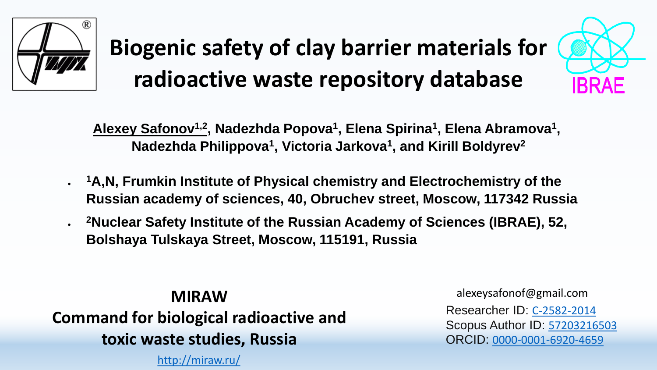

# **Biogenic safety of clay barrier materials for radioactive waste repository database**



**Alexey Safonov1,2 , Nadezhda Popova<sup>1</sup> , Elena Spirina<sup>1</sup> , Elena Abramova<sup>1</sup> , Nadezhda Philippova<sup>1</sup> , Victoria Jarkova<sup>1</sup> , and Kirill Boldyrev<sup>2</sup>**

- **<sup>1</sup>A,N, Frumkin Institute of Physical chemistry and Electrochemistry of the Russian academy of sciences, 40, Obruchev street, Moscow, 117342 Russia**
- **<sup>2</sup>Nuclear Safety Institute of the Russian Academy of Sciences (IBRAE), 52, Bolshaya Tulskaya Street, Moscow, 115191, Russia**

**MIRAW Сommand for biological radioactive and toxic waste studies, Russia**

<http://miraw.ru/>

alexeysafonof@gmail.com Researcher ID: [C-2582-2014](http://www.researcherid.com/rid/C-2582-2014) Scopus Author ID: [57203216503](https://www.scopus.com/authid/detail.uri?authorId=57203216503) ORCID: [0000-0001-6920-4659](http://orcid.org/0000-0001-6920-4659)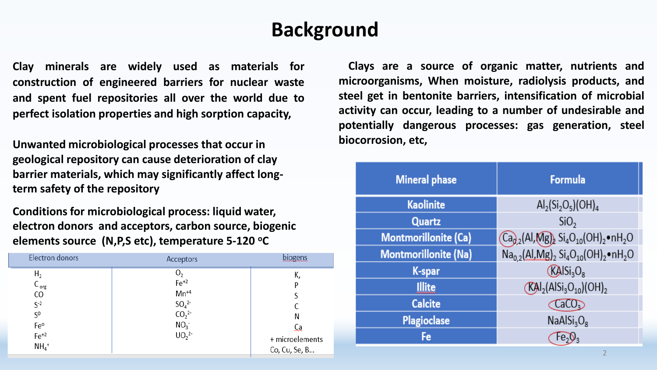#### **Background**

**Clay minerals are widely used as materials for construction of engineered barriers for nuclear waste and spent fuel repositories all over the world due to perfect isolation properties and high sorption capacity,**

**biocorrosion, etc, Unwanted microbiological processes that occur in geological repository can cause deterioration of clay barrier materials, which may significantly affect longterm safety of the repository**

**Conditions for microbiological process: liquid water, electron donors and acceptors, carbon source, biogenic elements source (N,P,S etc), temperature 5-120 <sup>o</sup>C**

| H <sub>2</sub><br>$\cup_2$<br>К,<br>$Fe+2$<br>$C_{org}$<br>$Mn^{+4}$<br>CO<br>$SO_4^{2-}$<br>$CO_2^{2-}$<br>$S-2$<br>$S^0$<br>Ν<br>NO <sub>3</sub><br>Fe°<br>Сa<br>UO <sub>2</sub> <sup>2</sup><br>$Fe+2$<br>+ microelements<br>$NH4$ <sup>+</sup><br>Co, Cu, Se, B | Electron donors | Acceptors | biogens |
|---------------------------------------------------------------------------------------------------------------------------------------------------------------------------------------------------------------------------------------------------------------------|-----------------|-----------|---------|
|                                                                                                                                                                                                                                                                     |                 |           |         |

**Clays are a source of organic matter, nutrients and microorganisms, When moisture, radiolysis products, and steel get in bentonite barriers, intensification of microbial activity can occur, leading to a number of undesirable and potentially dangerous processes: gas generation, steel**

| <b>Mineral phase</b>        | <b>Formula</b>                                                                                                  |
|-----------------------------|-----------------------------------------------------------------------------------------------------------------|
| <b>Kaolinite</b>            | $\text{Al}_2\text{(Si}_2\text{O}_5)\text{(OH)}_4$                                                               |
| Quartz                      | SiO <sub>2</sub>                                                                                                |
| <b>Montmorillonite (Ca)</b> | $Ca_{0,2}(Al, Mg)$ Si <sub>4</sub> O <sub>10</sub> (OH) <sub>2</sub> ·nH <sub>2</sub> O                         |
| <b>Montmorillonite (Na)</b> | $\text{Na}_{0,2}(\text{Al},\text{Mg})_{2}$ Si <sub>4</sub> O <sub>10</sub> (OH) <sub>2</sub> ·nH <sub>2</sub> O |
| K-spar                      | KAlSi <sub>3</sub> O <sub>8</sub>                                                                               |
| Illite                      | $(KAl2(AlSi3O10)(OH)2$                                                                                          |
| <b>Calcite</b>              | CaCO <sub>3</sub>                                                                                               |
| <b>Plagioclase</b>          | NaAlSi <sub>3</sub> O <sub>8</sub>                                                                              |
| Fe                          |                                                                                                                 |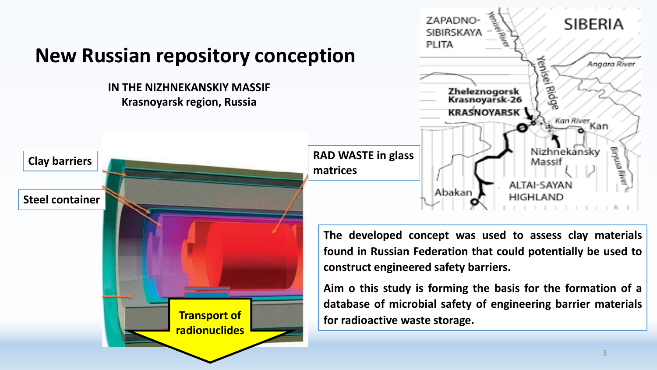



**The developed concept was used to assess clay materials found in Russian Federation that could potentially be used to construct engineered safety barriers.**

**Aim o this study is forming the basis for the formation of a database of microbial safety of engineering barrier materials for radioactive waste storage.**

#### 3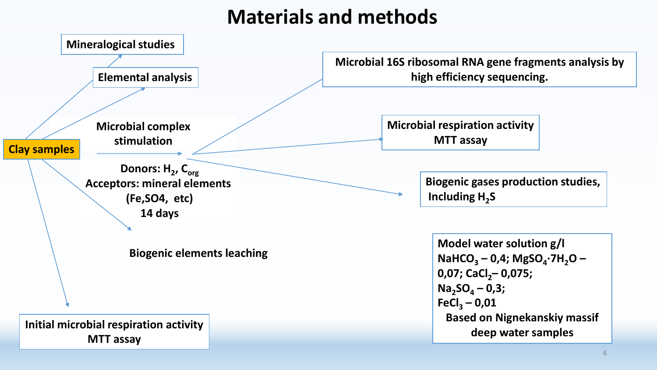# **Materials and methods**

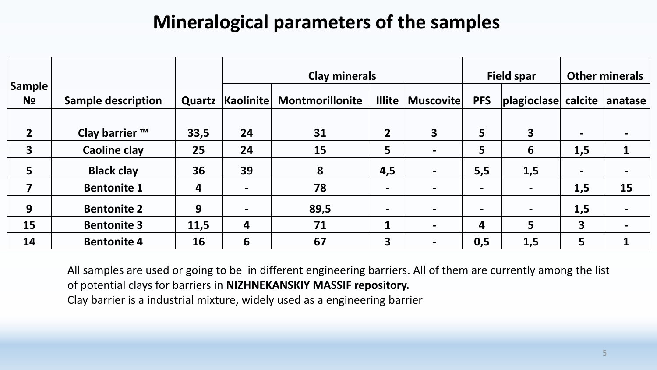## **Mineralogical parameters of the samples**

|                         |                           |        |                  | <b>Clay minerals</b>   |                         | <b>Field spar</b>       | <b>Other minerals</b> |                                     |                          |    |
|-------------------------|---------------------------|--------|------------------|------------------------|-------------------------|-------------------------|-----------------------|-------------------------------------|--------------------------|----|
| Sample <sup>!</sup>     |                           |        |                  |                        |                         |                         |                       |                                     |                          |    |
| N <sub>2</sub>          | <b>Sample description</b> | Quartz | <b>Kaolinite</b> | <b>Montmorillonite</b> | <b>Illite</b>           | Muscovite               | <b>PFS</b>            | $ plagioclase $ calcite $ $ anatase |                          |    |
|                         |                           |        |                  |                        |                         |                         |                       |                                     |                          |    |
| $\overline{2}$          | Clay barrier ™            | 33,5   | 24               | 31                     | $\overline{2}$          | $\overline{\mathbf{3}}$ | 5                     | $\overline{\mathbf{3}}$             | $\blacksquare$           |    |
| $\overline{\mathbf{3}}$ | <b>Caoline clay</b>       | 25     | 24               | 15                     | 5                       |                         | 5                     | 6                                   | 1,5                      | 1  |
| 5                       | <b>Black clay</b>         | 36     | 39               | 8                      | 4,5                     |                         | 5,5                   | 1,5                                 | $\overline{\phantom{0}}$ |    |
| 7                       | <b>Bentonite 1</b>        | 4      |                  | 78                     | $\blacksquare$          |                         | $\blacksquare$        | $\blacksquare$                      | 1,5                      | 15 |
| 9                       | <b>Bentonite 2</b>        | 9      |                  | 89,5                   | $\blacksquare$          |                         | $\blacksquare$        |                                     | 1,5                      |    |
| 15                      | <b>Bentonite 3</b>        | 11,5   | 4                | 71                     | $\mathbf 1$             | $\blacksquare$          | 4                     | 5                                   | 3                        |    |
| 14                      | <b>Bentonite 4</b>        | 16     | 6                | 67                     | $\overline{\mathbf{3}}$ |                         | 0,5                   | 1,5                                 | 5                        |    |

All samples are used or going to be in different engineering barriers. All of them are currently among the list of potential clays for barriers in **NIZHNEKANSKIY MASSIF repository.** Clay barrier is a industrial mixture, widely used as a engineering barrier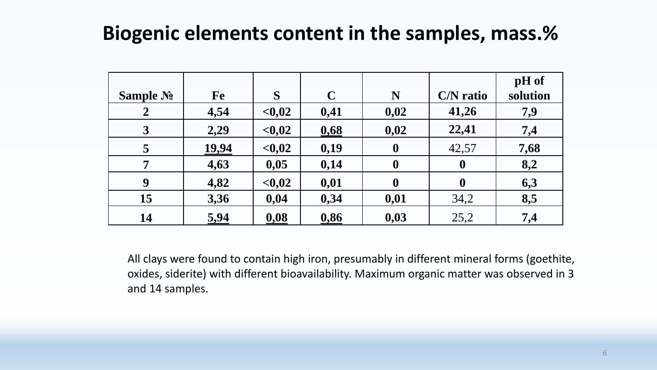#### **Biogenic elements content in the samples, mass.%**

| Sample No        | Fe           | S       | $\mathbf C$ | N                | <b>C/N</b> ratio | pH of<br>solution |
|------------------|--------------|---------|-------------|------------------|------------------|-------------------|
| $\boldsymbol{2}$ | 4,54         | < 0, 02 | 0,41        | 0,02             | 41,26            | 7,9               |
| $\mathbf{3}$     | 2,29         | < 0, 02 | 0,68        | 0,02             | 22,41            | 7,4               |
| 5                | <u>19,94</u> | < 0, 02 | 0,19        | $\boldsymbol{0}$ | 42,57            | 7,68              |
| $\overline{7}$   | 4,63         | 0,05    | 0,14        | $\boldsymbol{0}$ | $\boldsymbol{0}$ | 8,2               |
| 9                | 4,82         | < 0, 02 | 0,01        | $\boldsymbol{0}$ | $\boldsymbol{0}$ | 6,3               |
| 15               | 3,36         | 0,04    | 0,34        | 0,01             | 34,2             | 8,5               |
| 14               | 5,94         | 0,08    | 0,86        | 0,03             | 25,2             | 7,4               |

All clays were found to contain high iron, presumably in different mineral forms (goethite, oxides, siderite) with different bioavailability. Maximum organic matter was observed in 3 and 14 samples.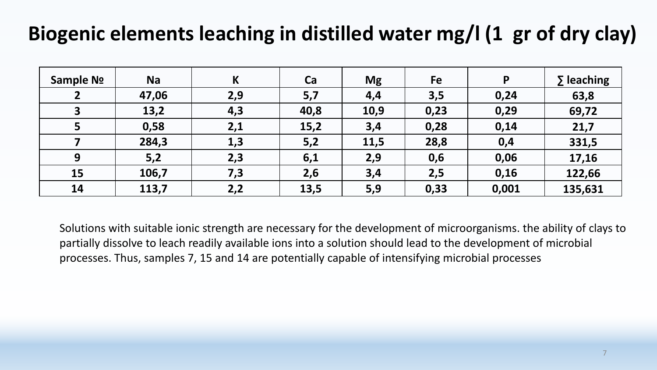# **Biogenic elements leaching in distilled water mg/l (1 gr of dry clay)**

| Sample No | <b>Na</b> | K   | Ca   | <b>Mg</b> | Fe   | P     | $\Sigma$ leaching |
|-----------|-----------|-----|------|-----------|------|-------|-------------------|
|           | 47,06     | 2,9 | 5,7  | 4,4       | 3,5  | 0,24  | 63,8              |
|           | 13,2      | 4,3 | 40,8 | 10,9      | 0,23 | 0,29  | 69,72             |
|           | 0,58      | 2,1 | 15,2 | 3,4       | 0,28 | 0,14  | 21,7              |
|           | 284,3     | 1,3 | 5,2  | 11,5      | 28,8 | 0,4   | 331,5             |
| 9         | 5,2       | 2,3 | 6,1  | 2,9       | 0,6  | 0,06  | 17,16             |
| 15        | 106,7     | 7,3 | 2,6  | 3,4       | 2,5  | 0,16  | 122,66            |
| 14        | 113,7     | 2,2 | 13,5 | 5,9       | 0,33 | 0,001 | 135,631           |

Solutions with suitable ionic strength are necessary for the development of microorganisms. the ability of clays to partially dissolve to leach readily available ions into a solution should lead to the development of microbial processes. Thus, samples 7, 15 and 14 are potentially capable of intensifying microbial processes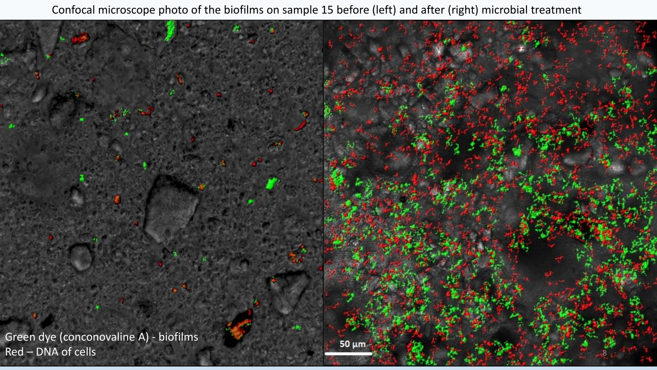Confocal microscope photo of the biofilms on sample 15 before (left) and after (right) microbial treatment

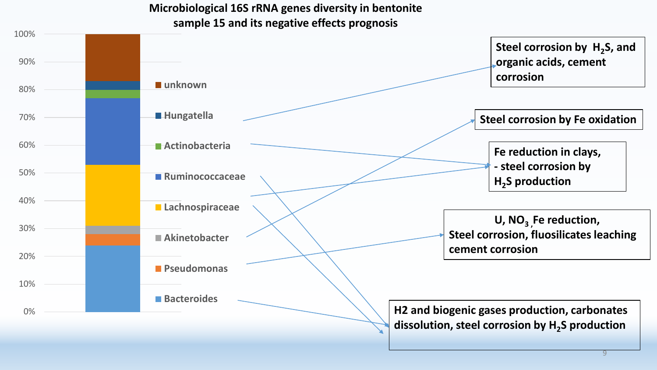**Microbiological 16S rRNA genes diversity in bentonite sample 15 and its negative effects prognosis**

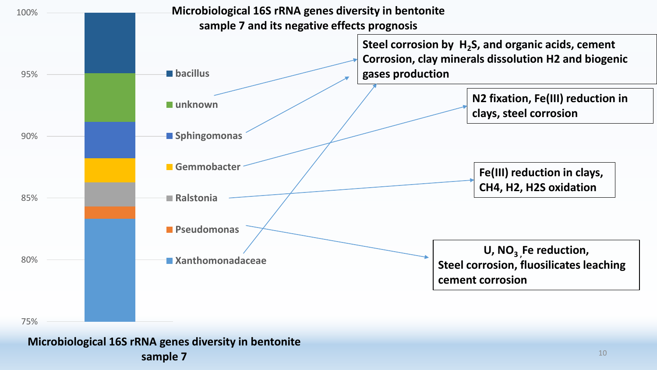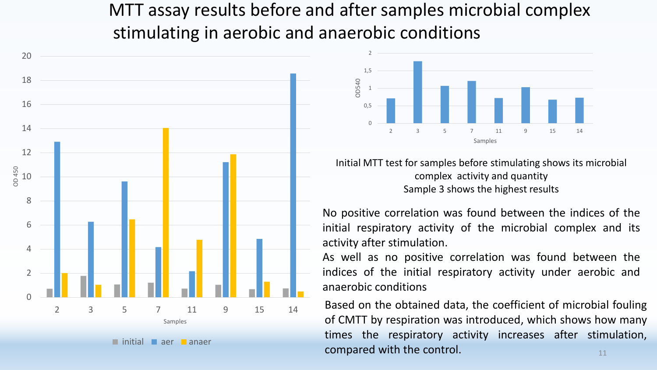МТТ assay results before and after samples microbial complex stimulating in aerobic and anaerobic conditions





Initial MTT test for samples before stimulating shows its microbial complex activity and quantity Sample 3 shows the highest results

No positive correlation was found between the indices of the initial respiratory activity of the microbial complex and its activity after stimulation.

As well as no positive correlation was found between the indices of the initial respiratory activity under aerobic and anaerobic conditions

Based on the obtained data, the coefficient of microbial fouling of CMTT by respiration was introduced, which shows how many times the respiratory activity increases after stimulation, compared with the control.  $\blacksquare$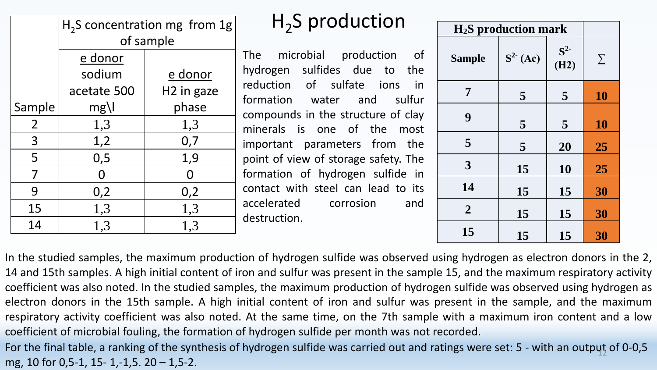|             | $H2S$ concentration mg from 1g |                        |  |  |  |  |  |  |  |  |
|-------------|--------------------------------|------------------------|--|--|--|--|--|--|--|--|
|             | of sample                      |                        |  |  |  |  |  |  |  |  |
|             | e donor                        |                        |  |  |  |  |  |  |  |  |
|             | sodium                         | e donor                |  |  |  |  |  |  |  |  |
|             | acetate 500                    | H <sub>2</sub> in gaze |  |  |  |  |  |  |  |  |
| Sample      | $mg$ \l                        | phase                  |  |  |  |  |  |  |  |  |
| $2^{\circ}$ | 1,3                            | 1,3                    |  |  |  |  |  |  |  |  |
| 3           | 1,2                            | 0,7                    |  |  |  |  |  |  |  |  |
| 5           | 0,5                            | 1,9                    |  |  |  |  |  |  |  |  |
| 7           |                                |                        |  |  |  |  |  |  |  |  |
| 9           | 0,2                            | 0,2                    |  |  |  |  |  |  |  |  |
| 15          | 1,3                            | 1,3                    |  |  |  |  |  |  |  |  |
| 14          | 1,3                            | 1,3                    |  |  |  |  |  |  |  |  |

# H2 S production **<sup>H</sup>2S production mark**

The microbial production of hydrogen sulfides due to the reduction of sulfate ions in formation water and sulfur compounds in the structure of clay minerals is one of the most important parameters from the point of view of storage safety. The formation of hydrogen sulfide in contact with steel can lead to its accelerated corrosion and destruction.

| $H_2S$ production mark |            |            |        |
|------------------------|------------|------------|--------|
| <b>Sample</b>          | $S^2$ (Ac) | $S^2$ (H2) | $\sum$ |
| 7                      | 5          | 5          | 10     |
| 9                      | 5          | 5          | 10     |
| 5                      | 5          | 20         | 25     |
| 3                      | 15         | 10         | 25     |
| 14                     | 15         | 15         | 30     |
| $\overline{2}$         | 15         | 15         | 30     |
| 15                     | 15         | 15         | 30     |

In the studied samples, the maximum production of hydrogen sulfide was observed using hydrogen as electron donors in the 2, 14 and 15th samples. A high initial content of iron and sulfur was present in the sample 15, and the maximum respiratory activity coefficient was also noted. In the studied samples, the maximum production of hydrogen sulfide was observed using hydrogen as electron donors in the 15th sample. A high initial content of iron and sulfur was present in the sample, and the maximum respiratory activity coefficient was also noted. At the same time, on the 7th sample with a maximum iron content and a low coefficient of microbial fouling, the formation of hydrogen sulfide per month was not recorded.

For the final table, a ranking of the synthesis of hydrogen sulfide was carried out and ratings were set: 5 - with an output of 0-0,5 mg, 10 for 0,5-1, 15- 1,-1,5. 20 – 1,5-2.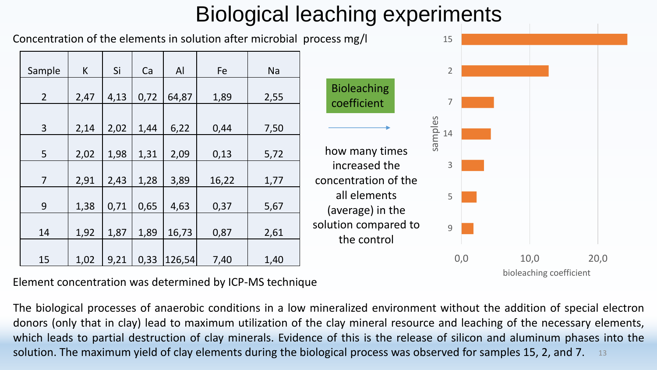# Biological leaching experiments

Concentration of the elements in solution after microbial process mg/l

| Sample         | K    | Si   | Ca   | AI     | Fe    | <b>Na</b> |
|----------------|------|------|------|--------|-------|-----------|
|                |      |      |      |        |       |           |
| $\overline{2}$ | 2,47 | 4,13 | 0,72 | 64,87  | 1,89  | 2,55      |
|                |      |      |      |        |       |           |
| 3              | 2,14 | 2,02 | 1,44 | 6,22   | 0,44  | 7,50      |
|                |      |      |      |        |       |           |
| 5              | 2,02 | 1,98 | 1,31 | 2,09   | 0,13  | 5,72      |
|                |      |      |      |        |       |           |
| $\overline{7}$ | 2,91 | 2,43 | 1,28 | 3,89   | 16,22 | 1,77      |
|                |      |      |      |        |       |           |
| 9              | 1,38 | 0,71 | 0,65 | 4,63   | 0,37  | 5,67      |
|                |      |      |      |        |       |           |
| 14             | 1,92 | 1,87 | 1,89 | 16,73  | 0,87  | 2,61      |
|                |      |      |      |        |       |           |
| 15             | 1,02 | 9,21 | 0,33 | 126,54 | 7,40  | 1,40      |



bioleaching coefficient

Element concentration was determined by ICP-MS technique

The biological processes of anaerobic conditions in a low mineralized environment without the addition of special electron donors (only that in clay) lead to maximum utilization of the clay mineral resource and leaching of the necessary elements, which leads to partial destruction of clay minerals. Evidence of this is the release of silicon and aluminum phases into the solution. The maximum yield of clay elements during the biological process was observed for samples 15, 2, and 7. 13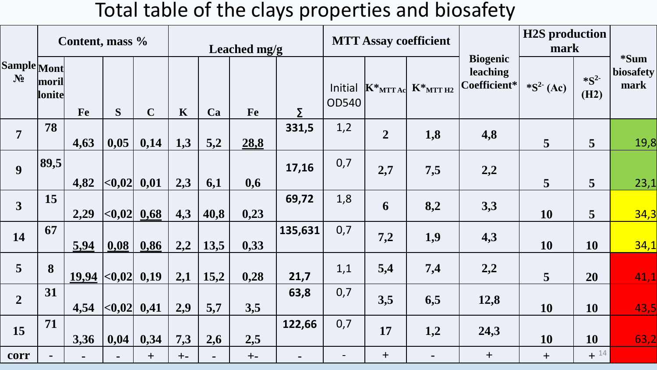## Total table of the clays properties and biosafety

|                                      | Content, mass % |                    |                             |             | Leached mg/g |                |       |         | <b>MTT Assay coefficient</b> |                |                                                                           |                                             | <b>H2S</b> production<br>mark |                   |                           |
|--------------------------------------|-----------------|--------------------|-----------------------------|-------------|--------------|----------------|-------|---------|------------------------------|----------------|---------------------------------------------------------------------------|---------------------------------------------|-------------------------------|-------------------|---------------------------|
| <b>Sample Mont</b><br>N <sub>2</sub> | moril<br>lonite | Fe                 | S                           | $\mathbf C$ | $\mathbf K$  | Ca             | Fe    | Σ       | Initial<br><b>OD540</b>      |                | $\begin{bmatrix} K^*_{\text{MTT Ac}} & K^*_{\text{MTT H2}} \end{bmatrix}$ | <b>Biogenic</b><br>leaching<br>Coefficient* | $*S^2$ (Ac)                   | $*S^2$<br>(H2)    | *Sum<br>biosafety<br>mark |
| $\overline{7}$                       | 78              | 4,63               | 0,05                        | 0,14        | 1,3          | 5,2            | 28,8  | 331,5   | 1,2                          | $\overline{2}$ | 1,8                                                                       | 4,8                                         | 5                             | 5                 | 19,8                      |
| $\boldsymbol{9}$                     | 89,5            | 4,82               | $ <\!\!\!\!\sim 0.02 $ 0.01 |             | 2,3          | 6,1            | 0,6   | 17,16   | 0,7                          | 2,7            | 7,5                                                                       | 2,2                                         | 5                             | 5                 | 23,1                      |
| $\overline{\mathbf{3}}$              | 15              | 2,29               | <,0.02                      | 0,68        | 4,3          | 40,8           | 0,23  | 69,72   | 1,8                          | 6              | 8,2                                                                       | 3,3                                         | 10                            | 5                 | 34,3                      |
| 14                                   | 67              | 5,94               | 0,08                        | 0,86        | 2,2          | 13,5           | 0,33  | 135,631 | 0,7                          | 7,2            | 1,9                                                                       | 4,3                                         | 10                            | 10                | 34,1                      |
| $\overline{5}$                       | 8               | $19,94$ <0,02 0,19 |                             |             | 2,1          | 15,2           | 0,28  | 21,7    | 1,1                          | 5,4            | 7,4                                                                       | 2,2                                         | $5\overline{)}$               | 20                | 41,1                      |
| $\overline{2}$                       | 31              | 4,54               | <,0.02                      | 0,41        | 2,9          | 5,7            | 3,5   | 63,8    | 0,7                          | 3,5            | 6,5                                                                       | 12,8                                        | 10                            | 10                | 43,5                      |
| 15                                   | 71              | 3,36               | 0,04                        | 0,34        | 7,3          | 2,6            | 2,5   | 122,66  | 0,7                          | 17             | 1,2                                                                       | 24,3                                        | 10                            | 10                | 63,2                      |
| corr                                 | $\blacksquare$  |                    |                             | $+$         | $+ -$        | $\blacksquare$ | $+ -$ |         |                              | $+$            |                                                                           | $+$                                         | $+$                           | $+$ <sup>14</sup> |                           |